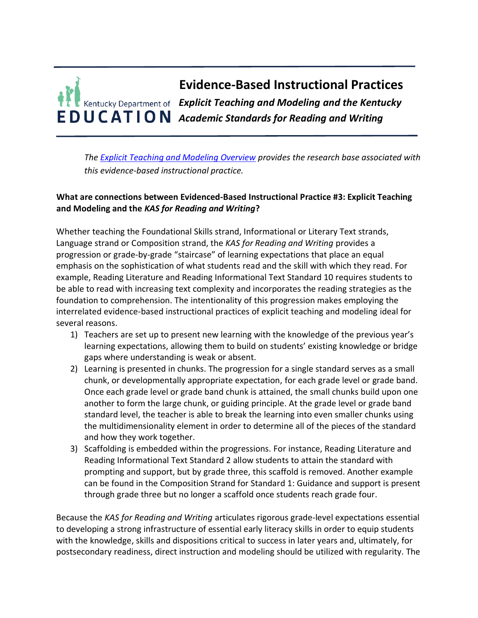

*The [Explicit Teaching and Modeling Overview](https://education.ky.gov/curriculum/standards/kyacadstand/Documents/EBIP_3_Explicit_Teaching_and_Modeling.pdf) provides the research base associated with this evidence-based instructional practice.*

## **What are connections between Evidenced-Based Instructional Practice #3: Explicit Teaching and Modeling and the** *KAS for Reading and Writing***?**

Whether teaching the Foundational Skills strand, Informational or Literary Text strands, Language strand or Composition strand, the *KAS for Reading and Writing* provides a progression or grade-by-grade "staircase" of learning expectations that place an equal emphasis on the sophistication of what students read and the skill with which they read. For example, Reading Literature and Reading Informational Text Standard 10 requires students to be able to read with increasing text complexity and incorporates the reading strategies as the foundation to comprehension. The intentionality of this progression makes employing the interrelated evidence-based instructional practices of explicit teaching and modeling ideal for several reasons.

- 1) Teachers are set up to present new learning with the knowledge of the previous year's learning expectations, allowing them to build on students' existing knowledge or bridge gaps where understanding is weak or absent.
- 2) Learning is presented in chunks. The progression for a single standard serves as a small chunk, or developmentally appropriate expectation, for each grade level or grade band. Once each grade level or grade band chunk is attained, the small chunks build upon one another to form the large chunk, or guiding principle. At the grade level or grade band standard level, the teacher is able to break the learning into even smaller chunks using the multidimensionality element in order to determine all of the pieces of the standard and how they work together.
- 3) Scaffolding is embedded within the progressions. For instance, Reading Literature and Reading Informational Text Standard 2 allow students to attain the standard with prompting and support, but by grade three, this scaffold is removed. Another example can be found in the Composition Strand for Standard 1: Guidance and support is present through grade three but no longer a scaffold once students reach grade four.

Because the *KAS for Reading and Writing* articulates rigorous grade-level expectations essential to developing a strong infrastructure of essential early literacy skills in order to equip students with the knowledge, skills and dispositions critical to success in later years and, ultimately, for postsecondary readiness, direct instruction and modeling should be utilized with regularity. The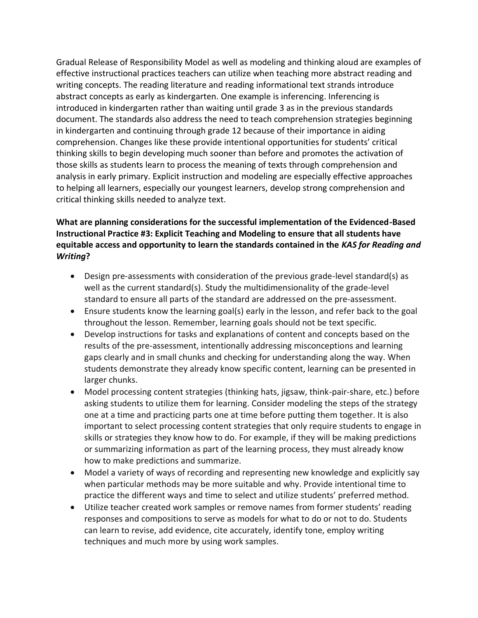Gradual Release of Responsibility Model as well as modeling and thinking aloud are examples of effective instructional practices teachers can utilize when teaching more abstract reading and writing concepts. The reading literature and reading informational text strands introduce abstract concepts as early as kindergarten. One example is inferencing. Inferencing is introduced in kindergarten rather than waiting until grade 3 as in the previous standards document. The standards also address the need to teach comprehension strategies beginning in kindergarten and continuing through grade 12 because of their importance in aiding comprehension. Changes like these provide intentional opportunities for students' critical thinking skills to begin developing much sooner than before and promotes the activation of those skills as students learn to process the meaning of texts through comprehension and analysis in early primary. Explicit instruction and modeling are especially effective approaches to helping all learners, especially our youngest learners, develop strong comprehension and critical thinking skills needed to analyze text.

## **What are planning considerations for the successful implementation of the Evidenced-Based Instructional Practice #3: Explicit Teaching and Modeling to ensure that all students have equitable access and opportunity to learn the standards contained in the** *KAS for Reading and Writing***?**

- Design pre-assessments with consideration of the previous grade-level standard(s) as well as the current standard(s). Study the multidimensionality of the grade-level standard to ensure all parts of the standard are addressed on the pre-assessment.
- Ensure students know the learning goal(s) early in the lesson, and refer back to the goal throughout the lesson. Remember, learning goals should not be text specific.
- Develop instructions for tasks and explanations of content and concepts based on the results of the pre-assessment, intentionally addressing misconceptions and learning gaps clearly and in small chunks and checking for understanding along the way. When students demonstrate they already know specific content, learning can be presented in larger chunks.
- Model processing content strategies (thinking hats, jigsaw, think-pair-share, etc.) before asking students to utilize them for learning. Consider modeling the steps of the strategy one at a time and practicing parts one at time before putting them together. It is also important to select processing content strategies that only require students to engage in skills or strategies they know how to do. For example, if they will be making predictions or summarizing information as part of the learning process, they must already know how to make predictions and summarize.
- Model a variety of ways of recording and representing new knowledge and explicitly say when particular methods may be more suitable and why. Provide intentional time to practice the different ways and time to select and utilize students' preferred method.
- Utilize teacher created work samples or remove names from former students' reading responses and compositions to serve as models for what to do or not to do. Students can learn to revise, add evidence, cite accurately, identify tone, employ writing techniques and much more by using work samples.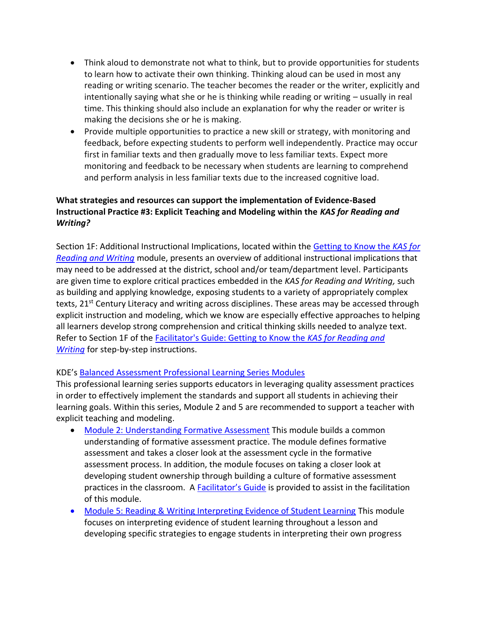- Think aloud to demonstrate not what to think, but to provide opportunities for students to learn how to activate their own thinking. Thinking aloud can be used in most any reading or writing scenario. The teacher becomes the reader or the writer, explicitly and intentionally saying what she or he is thinking while reading or writing – usually in real time. This thinking should also include an explanation for why the reader or writer is making the decisions she or he is making.
- Provide multiple opportunities to practice a new skill or strategy, with monitoring and feedback, before expecting students to perform well independently. Practice may occur first in familiar texts and then gradually move to less familiar texts. Expect more monitoring and feedback to be necessary when students are learning to comprehend and perform analysis in less familiar texts due to the increased cognitive load.

## **What strategies and resources can support the implementation of Evidence-Based Instructional Practice #3: Explicit Teaching and Modeling within the** *KAS for Reading and Writing?*

Section 1F: Additional Instructional Implications, located within the [Getting to Know the](https://kystandards.org/wp-content/uploads/2019/06/Getting_to_Know_the_KAS_for_Reading_and_Writing.pptx) *KAS for [Reading and Writing](https://kystandards.org/wp-content/uploads/2019/06/Getting_to_Know_the_KAS_for_Reading_and_Writing.pptx)* module, presents an overview of additional instructional implications that may need to be addressed at the district, school and/or team/department level. Participants are given time to explore critical practices embedded in the *KAS for Reading and Writing,* such as building and applying knowledge, exposing students to a variety of appropriately complex texts, 21<sup>st</sup> Century Literacy and writing across disciplines. These areas may be accessed through explicit instruction and modeling, which we know are especially effective approaches to helping all learners develop strong comprehension and critical thinking skills needed to analyze text. Refer to Section 1F of the [Facilitator's Guide: Getting to Know the](https://kystandards.org/wp-content/uploads/2019/06/Facilitators_Guide_Getting_to_Know_the_KAS_for_Reading_and_Writing.pdf) *KAS for Reading and [Writing](https://kystandards.org/wp-content/uploads/2019/06/Facilitators_Guide_Getting_to_Know_the_KAS_for_Reading_and_Writing.pdf)* for step-by-step instructions.

## KDE's [Balanced Assessment Professional Learning Series Modules](https://kystandards.org/standards-resources/pl-mods/balanced-assessment-plms/)

This professional learning series supports educators in leveraging quality assessment practices in order to effectively implement the standards and support all students in achieving their learning goals. Within this series, Module 2 and 5 are recommended to support a teacher with explicit teaching and modeling.

- [Module 2: Understanding Formative Assessment](https://education.ky.gov/curriculum/standards/kyacadstand/Documents/Module_2_Understanding_Formative_Assessment.pptx) This module builds a common understanding of formative assessment practice. The module defines formative assessment and takes a closer look at the assessment cycle in the formative assessment process. In addition, the module focuses on taking a closer look at developing student ownership through building a culture of formative assessment practices in the classroom. A **[Facilitator's Guide](https://education.ky.gov/curriculum/standards/kyacadstand/Documents/Module_2_Understanding_Formative_Assessment_Facilitation_Guide.pdf)** is provided to assist in the facilitation of this module.
- [Module 5: Reading & Writing Interpreting Evidence of Student Learning](https://education.ky.gov/curriculum/standards/kyacadstand/Documents/Module_5_Interpreting_Evidence_of_Student_Learning_Reading_Writing.pptx) This module focuses on interpreting evidence of student learning throughout a lesson and developing specific strategies to engage students in interpreting their own progress